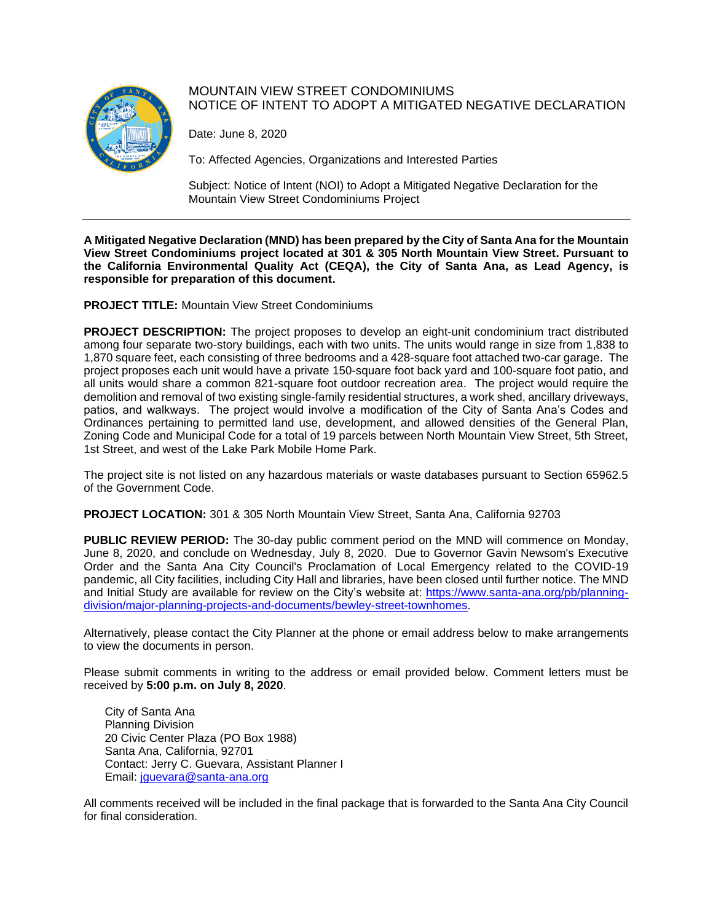

## MOUNTAIN VIEW STREET CONDOMINIUMS NOTICE OF INTENT TO ADOPT A MITIGATED NEGATIVE DECLARATION

Date: June 8, 2020

To: Affected Agencies, Organizations and Interested Parties

Subject: Notice of Intent (NOI) to Adopt a Mitigated Negative Declaration for the Mountain View Street Condominiums Project

**A Mitigated Negative Declaration (MND) has been prepared by the City of Santa Ana for the Mountain View Street Condominiums project located at 301 & 305 North Mountain View Street. Pursuant to the California Environmental Quality Act (CEQA), the City of Santa Ana, as Lead Agency, is responsible for preparation of this document.**

**PROJECT TITLE:** Mountain View Street Condominiums

**PROJECT DESCRIPTION:** The project proposes to develop an eight-unit condominium tract distributed among four separate two-story buildings, each with two units. The units would range in size from 1,838 to 1,870 square feet, each consisting of three bedrooms and a 428-square foot attached two-car garage. The project proposes each unit would have a private 150-square foot back yard and 100-square foot patio, and all units would share a common 821-square foot outdoor recreation area. The project would require the demolition and removal of two existing single-family residential structures, a work shed, ancillary driveways, patios, and walkways. The project would involve a modification of the City of Santa Ana's Codes and Ordinances pertaining to permitted land use, development, and allowed densities of the General Plan, Zoning Code and Municipal Code for a total of 19 parcels between North Mountain View Street, 5th Street, 1st Street, and west of the Lake Park Mobile Home Park.

The project site is not listed on any hazardous materials or waste databases pursuant to Section 65962.5 of the Government Code.

**PROJECT LOCATION:** 301 & 305 North Mountain View Street, Santa Ana, California 92703

**PUBLIC REVIEW PERIOD:** The 30-day public comment period on the MND will commence on Monday, June 8, 2020, and conclude on Wednesday, July 8, 2020. Due to Governor Gavin Newsom's Executive Order and the Santa Ana City Council's Proclamation of Local Emergency related to the COVID-19 pandemic, all City facilities, including City Hall and libraries, have been closed until further notice. The MND and Initial Study are available for review on the City's website at: [https://www.santa-ana.org/pb/planning](https://www.santa-ana.org/pb/planning-division/major-planning-projects-and-documents/bewley-street-townhomes)[division/major-planning-projects-and-documents/bewley-street-townhomes.](https://www.santa-ana.org/pb/planning-division/major-planning-projects-and-documents/bewley-street-townhomes)

Alternatively, please contact the City Planner at the phone or email address below to make arrangements to view the documents in person.

Please submit comments in writing to the address or email provided below. Comment letters must be received by **5:00 p.m. on July 8, 2020**.

City of Santa Ana Planning Division 20 Civic Center Plaza (PO Box 1988) Santa Ana, California, 92701 Contact: Jerry C. Guevara, Assistant Planner I Email: [jguevara@santa-ana.org](mailto:jguevara@santa-ana.org)

All comments received will be included in the final package that is forwarded to the Santa Ana City Council for final consideration.